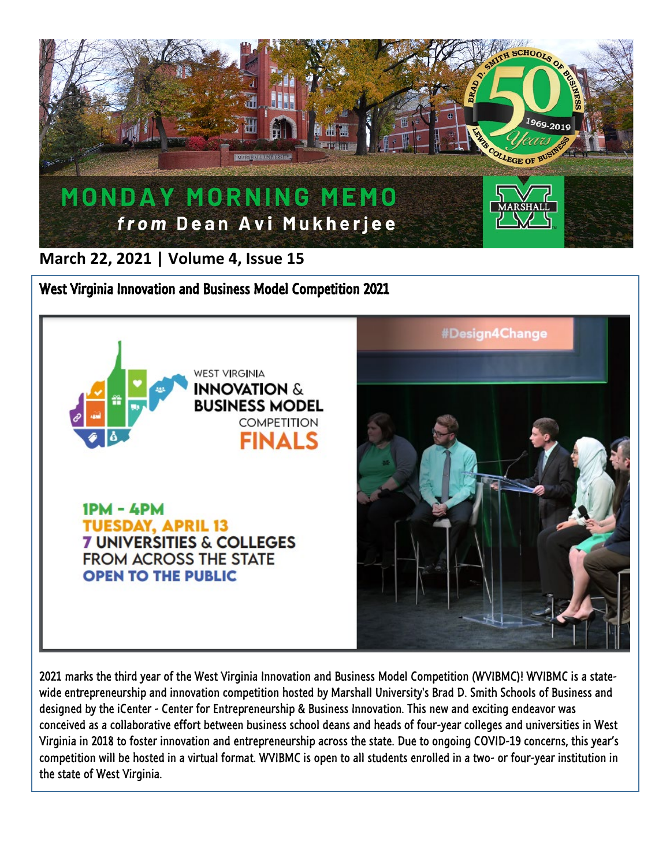

**March 22, 2021 | Volume 4, Issue 15**

West Virginia Innovation and Business Model Competition 2021



 $IPM - APM$ **TUESDAY, APRIL 13 7 UNIVERSITIES & COLLEGES FROM ACROSS THE STATE OPEN TO THE PUBLIC** 



2021 marks the third year of the West Virginia Innovation and Business Model Competition (WVIBMC)! WVIBMC is a statewide entrepreneurship and innovation competition hosted by Marshall University's Brad D. Smith Schools of Business and designed by the iCenter - Center for Entrepreneurship & Business Innovation. This new and exciting endeavor was conceived as a collaborative effort between business school deans and heads of four-year colleges and universities in West Virginia in 2018 to foster innovation and entrepreneurship across the state. Due to ongoing COVID-19 concerns, this year's competition will be hosted in a virtual format. WVIBMC is open to all students enrolled in a two- or four-year institution in the state of West Virginia.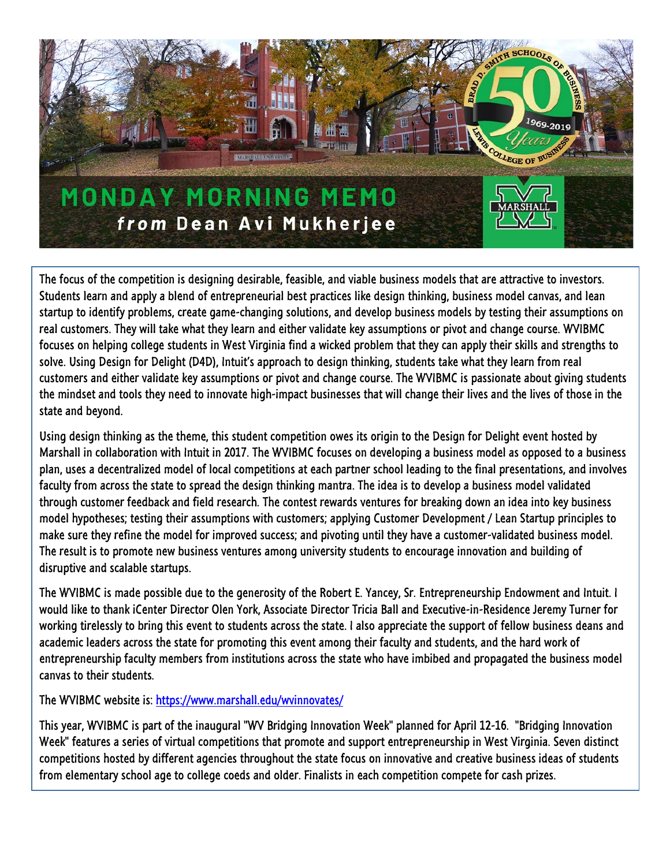

The focus of the competition is designing desirable, feasible, and viable business models that are attractive to investors. Students learn and apply a blend of entrepreneurial best practices like design thinking, business model canvas, and lean startup to identify problems, create game-changing solutions, and develop business models by testing their assumptions on real customers. They will take what they learn and either validate key assumptions or pivot and change course. WVIBMC focuses on helping college students in West Virginia find a wicked problem that they can apply their skills and strengths to solve. Using Design for Delight (D4D), Intuit's approach to design thinking, students take what they learn from real customers and either validate key assumptions or pivot and change course. The WVIBMC is passionate about giving students the mindset and tools they need to innovate high-impact businesses that will change their lives and the lives of those in the state and beyond.

Using design thinking as the theme, this student competition owes its origin to the Design for Delight event hosted by Marshall in collaboration with Intuit in 2017. The WVIBMC focuses on developing a business model as opposed to a business plan, uses a decentralized model of local competitions at each partner school leading to the final presentations, and involves faculty from across the state to spread the design thinking mantra. The idea is to develop a business model validated through customer feedback and field research. The contest rewards ventures for breaking down an idea into key business model hypotheses; testing their assumptions with customers; applying Customer Development / Lean Startup principles to make sure they refine the model for improved success; and pivoting until they have a customer-validated business model. The result is to promote new business ventures among university students to encourage innovation and building of disruptive and scalable startups.

The WVIBMC is made possible due to the generosity of the Robert E. Yancey, Sr. Entrepreneurship Endowment and Intuit. I would like to thank iCenter Director Olen York, Associate Director Tricia Ball and Executive-in-Residence Jeremy Turner for working tirelessly to bring this event to students across the state. I also appreciate the support of fellow business deans and academic leaders across the state for promoting this event among their faculty and students, and the hard work of entrepreneurship faculty members from institutions across the state who have imbibed and propagated the business model canvas to their students.

The WVIBMC website is:<https://www.marshall.edu/wvinnovates/>

This year, WVIBMC is part of the inaugural "WV Bridging Innovation Week" planned for April 12-16. "Bridging Innovation Week" features a series of virtual competitions that promote and support entrepreneurship in West Virginia. Seven distinct competitions hosted by different agencies throughout the state focus on innovative and creative business ideas of students from elementary school age to college coeds and older. Finalists in each competition compete for cash prizes.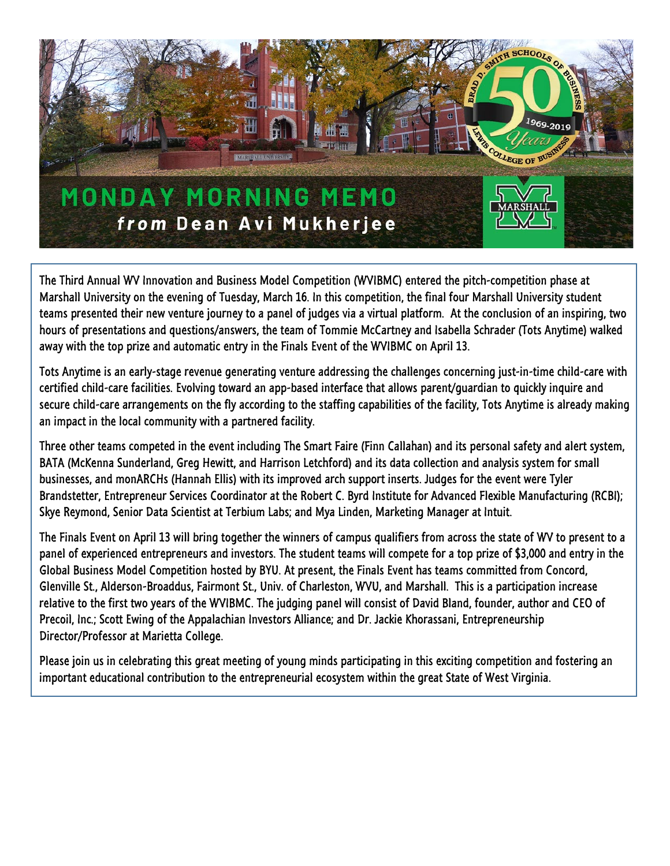

The Third Annual WV Innovation and Business Model Competition (WVIBMC) entered the pitch-competition phase at Marshall University on the evening of Tuesday, March 16. In this competition, the final four Marshall University student teams presented their new venture journey to a panel of judges via a virtual platform. At the conclusion of an inspiring, two hours of presentations and questions/answers, the team of Tommie McCartney and Isabella Schrader (Tots Anytime) walked away with the top prize and automatic entry in the Finals Event of the WVIBMC on April 13.

Tots Anytime is an early-stage revenue generating venture addressing the challenges concerning just-in-time child-care with certified child-care facilities. Evolving toward an app-based interface that allows parent/guardian to quickly inquire and secure child-care arrangements on the fly according to the staffing capabilities of the facility, Tots Anytime is already making an impact in the local community with a partnered facility.

Three other teams competed in the event including The Smart Faire (Finn Callahan) and its personal safety and alert system, BATA (McKenna Sunderland, Greg Hewitt, and Harrison Letchford) and its data collection and analysis system for small businesses, and monARCHs (Hannah Ellis) with its improved arch support inserts. Judges for the event were Tyler Brandstetter, Entrepreneur Services Coordinator at the Robert C. Byrd Institute for Advanced Flexible Manufacturing (RCBI); Skye Reymond, Senior Data Scientist at Terbium Labs; and Mya Linden, Marketing Manager at Intuit.

The Finals Event on April 13 will bring together the winners of campus qualifiers from across the state of WV to present to a panel of experienced entrepreneurs and investors. The student teams will compete for a top prize of \$3,000 and entry in the Global Business Model Competition hosted by BYU. At present, the Finals Event has teams committed from Concord, Glenville St., Alderson-Broaddus, Fairmont St., Univ. of Charleston, WVU, and Marshall. This is a participation increase relative to the first two years of the WVIBMC. The judging panel will consist of David Bland, founder, author and CEO of Precoil, Inc.; Scott Ewing of the Appalachian Investors Alliance; and Dr. Jackie Khorassani, Entrepreneurship Director/Professor at Marietta College.

Please join us in celebrating this great meeting of young minds participating in this exciting competition and fostering an important educational contribution to the entrepreneurial ecosystem within the great State of West Virginia.